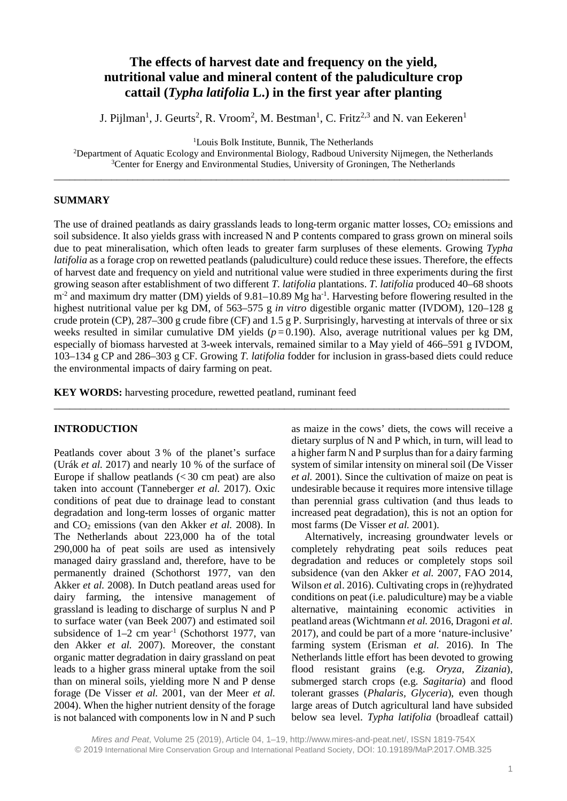# **The effects of harvest date and frequency on the yield, nutritional value and mineral content of the paludiculture crop cattail (***Typha latifolia* **L.) in the first year after planting**

J. Pijlman<sup>1</sup>, J. Geurts<sup>2</sup>, R. Vroom<sup>2</sup>, M. Bestman<sup>1</sup>, C. Fritz<sup>2,3</sup> and N. van Eekeren<sup>1</sup>

1 Louis Bolk Institute, Bunnik, The Netherlands

<sup>2</sup>Department of Aquatic Ecology and Environmental Biology, Radboud University Nijmegen, the Netherlands <sup>3</sup>Center for Energy and Environmental Studies, University of Groningen, The Netherlands \_\_\_\_\_\_\_\_\_\_\_\_\_\_\_\_\_\_\_\_\_\_\_\_\_\_\_\_\_\_\_\_\_\_\_\_\_\_\_\_\_\_\_\_\_\_\_\_\_\_\_\_\_\_\_\_\_\_\_\_\_\_\_\_\_\_\_\_\_\_\_\_\_\_\_\_\_\_\_\_\_\_\_\_\_\_\_

#### **SUMMARY**

The use of drained peatlands as dairy grasslands leads to long-term organic matter losses,  $CO<sub>2</sub>$  emissions and soil subsidence. It also yields grass with increased N and P contents compared to grass grown on mineral soils due to peat mineralisation, which often leads to greater farm surpluses of these elements. Growing *Typha latifolia* as a forage crop on rewetted peatlands (paludiculture) could reduce these issues. Therefore, the effects of harvest date and frequency on yield and nutritional value were studied in three experiments during the first growing season after establishment of two different *T. latifolia* plantations. *T. latifolia* produced 40–68 shoots  $m<sup>2</sup>$  and maximum dry matter (DM) yields of 9.81–10.89 Mg ha<sup>-1</sup>. Harvesting before flowering resulted in the highest nutritional value per kg DM, of 563–575 g *in vitro* digestible organic matter (IVDOM), 120–128 g crude protein (CP), 287–300 g crude fibre (CF) and 1.5 g P. Surprisingly, harvesting at intervals of three or six weeks resulted in similar cumulative DM yields  $(p=0.190)$ . Also, average nutritional values per kg DM, especially of biomass harvested at 3-week intervals, remained similar to a May yield of 466–591 g IVDOM, 103–134 g CP and 286–303 g CF. Growing *T. latifolia* fodder for inclusion in grass-based diets could reduce the environmental impacts of dairy farming on peat.

\_\_\_\_\_\_\_\_\_\_\_\_\_\_\_\_\_\_\_\_\_\_\_\_\_\_\_\_\_\_\_\_\_\_\_\_\_\_\_\_\_\_\_\_\_\_\_\_\_\_\_\_\_\_\_\_\_\_\_\_\_\_\_\_\_\_\_\_\_\_\_\_\_\_\_\_\_\_\_\_\_\_\_\_\_\_\_

**KEY WORDS:** harvesting procedure, rewetted peatland, ruminant feed

### **INTRODUCTION**

Peatlands cover about 3 % of the planet's surface (Urák *et al.* 2017) and nearly 10 % of the surface of Europe if shallow peatlands  $\left( < 30 \right)$  cm peat) are also taken into account (Tanneberger *et al.* 2017). Oxic conditions of peat due to drainage lead to constant degradation and long-term losses of organic matter and CO2 emissions (van den Akker *et al.* 2008). In The Netherlands about 223,000 ha of the total 290,000 ha of peat soils are used as intensively managed dairy grassland and, therefore, have to be permanently drained (Schothorst 1977, van den Akker *et al.* 2008). In Dutch peatland areas used for dairy farming, the intensive management of grassland is leading to discharge of surplus N and P to surface water (van Beek 2007) and estimated soil subsidence of  $1-2$  cm year<sup>-1</sup> (Schothorst 1977, van den Akker *et al.* 2007). Moreover, the constant organic matter degradation in dairy grassland on peat leads to a higher grass mineral uptake from the soil than on mineral soils, yielding more N and P dense forage (De Visser *et al.* 2001, van der Meer *et al.* 2004). When the higher nutrient density of the forage is not balanced with components low in N and P such

as maize in the cows' diets, the cows will receive a dietary surplus of N and P which, in turn, will lead to a higher farm N and P surplus than for a dairy farming system of similar intensity on mineral soil (De Visser *et al.* 2001). Since the cultivation of maize on peat is undesirable because it requires more intensive tillage than perennial grass cultivation (and thus leads to increased peat degradation), this is not an option for most farms (De Visser *et al.* 2001).

Alternatively, increasing groundwater levels or completely rehydrating peat soils reduces peat degradation and reduces or completely stops soil subsidence (van den Akker *et al.* 2007, FAO 2014, Wilson *et a*l. 2016). Cultivating crops in (re)hydrated conditions on peat (i.e. paludiculture) may be a viable alternative, maintaining economic activities in peatland areas (Wichtmann *et al.* 2016, Dragoni *et al.* 2017), and could be part of a more 'nature-inclusive' farming system (Erisman *et al.* 2016). In The Netherlands little effort has been devoted to growing flood resistant grains (e.g. *Oryza, Zizania*), submerged starch crops (e.g. *Sagitaria*) and flood tolerant grasses (*Phalaris, Glyceria*), even though large areas of Dutch agricultural land have subsided below sea level. *Typha latifolia* (broadleaf cattail)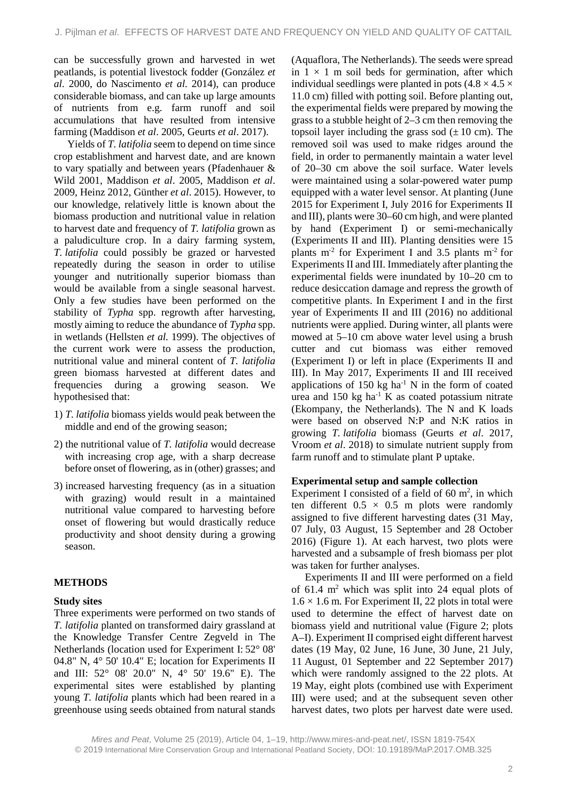can be successfully grown and harvested in wet peatlands, is potential livestock fodder (González *et al.* 2000, do Nascimento *et al.* 2014), can produce considerable biomass, and can take up large amounts of nutrients from e.g. farm runoff and soil accumulations that have resulted from intensive farming (Maddison *et al*. 2005, Geurts *et al*. 2017).

Yields of *T. latifolia* seem to depend on time since crop establishment and harvest date, and are known to vary spatially and between years (Pfadenhauer & Wild 2001, Maddison *et al*. 2005, Maddison *et al*. 2009, Heinz 2012, Günther *et al*. 2015). However, to our knowledge, relatively little is known about the biomass production and nutritional value in relation to harvest date and frequency of *T. latifolia* grown as a paludiculture crop. In a dairy farming system, *T. latifolia* could possibly be grazed or harvested repeatedly during the season in order to utilise younger and nutritionally superior biomass than would be available from a single seasonal harvest. Only a few studies have been performed on the stability of *Typha* spp. regrowth after harvesting, mostly aiming to reduce the abundance of *Typha* spp. in wetlands (Hellsten *et al.* 1999). The objectives of the current work were to assess the production, nutritional value and mineral content of *T. latifolia* green biomass harvested at different dates and frequencies during a growing season. We hypothesised that:

- 1) *T. latifolia* biomass yields would peak between the middle and end of the growing season;
- 2) the nutritional value of *T. latifolia* would decrease with increasing crop age, with a sharp decrease before onset of flowering, as in (other) grasses; and
- 3) increased harvesting frequency (as in a situation with grazing) would result in a maintained nutritional value compared to harvesting before onset of flowering but would drastically reduce productivity and shoot density during a growing season.

#### **METHODS**

#### **Study sites**

Three experiments were performed on two stands of *T. latifolia* planted on transformed dairy grassland at the Knowledge Transfer Centre Zegveld in The Netherlands (location used for Experiment I: 52° 08' 04.8" N, 4° 50' 10.4" E; location for Experiments II and III: 52° 08' 20.0" N, 4° 50' 19.6" E). The experimental sites were established by planting young *T. latifolia* plants which had been reared in a greenhouse using seeds obtained from natural stands

(Aquaflora, The Netherlands). The seeds were spread in  $1 \times 1$  m soil beds for germination, after which individual seedlings were planted in pots  $(4.8 \times 4.5 \times$ 11.0 cm) filled with potting soil. Before planting out, the experimental fields were prepared by mowing the grass to a stubble height of 2–3 cm then removing the topsoil layer including the grass sod  $(\pm 10 \text{ cm})$ . The removed soil was used to make ridges around the field, in order to permanently maintain a water level of 20–30 cm above the soil surface. Water levels were maintained using a solar-powered water pump equipped with a water level sensor. At planting (June 2015 for Experiment I, July 2016 for Experiments II and III), plants were 30–60 cm high, and were planted by hand (Experiment I) or semi-mechanically (Experiments II and III). Planting densities were 15 plants  $m<sup>2</sup>$  for Experiment I and 3.5 plants  $m<sup>2</sup>$  for Experiments II and III. Immediately after planting the experimental fields were inundated by 10–20 cm to reduce desiccation damage and repress the growth of competitive plants. In Experiment I and in the first year of Experiments II and III (2016) no additional nutrients were applied. During winter, all plants were mowed at 5–10 cm above water level using a brush cutter and cut biomass was either removed (Experiment I) or left in place (Experiments II and III). In May 2017, Experiments II and III received applications of  $150 \text{ kg}$  ha<sup>-1</sup> N in the form of coated urea and  $150 \text{ kg}$  ha<sup>-1</sup> K as coated potassium nitrate (Ekompany, the Netherlands). The N and K loads were based on observed N:P and N:K ratios in growing *T. latifolia* biomass (Geurts *et al*. 2017, Vroom *et al*. 2018) to simulate nutrient supply from farm runoff and to stimulate plant P uptake.

#### **Experimental setup and sample collection**

Experiment I consisted of a field of  $60 \text{ m}^2$ , in which ten different  $0.5 \times 0.5$  m plots were randomly assigned to five different harvesting dates (31 May, 07 July, 03 August, 15 September and 28 October 2016) (Figure 1). At each harvest, two plots were harvested and a subsample of fresh biomass per plot was taken for further analyses.

Experiments II and III were performed on a field of  $61.4 \text{ m}^2$  which was split into 24 equal plots of  $1.6 \times 1.6$  m. For Experiment II, 22 plots in total were used to determine the effect of harvest date on biomass yield and nutritional value (Figure 2; plots A–I). Experiment II comprised eight different harvest dates (19 May, 02 June, 16 June, 30 June, 21 July, 11 August, 01 September and 22 September 2017) which were randomly assigned to the 22 plots. At 19 May, eight plots (combined use with Experiment III) were used; and at the subsequent seven other harvest dates, two plots per harvest date were used.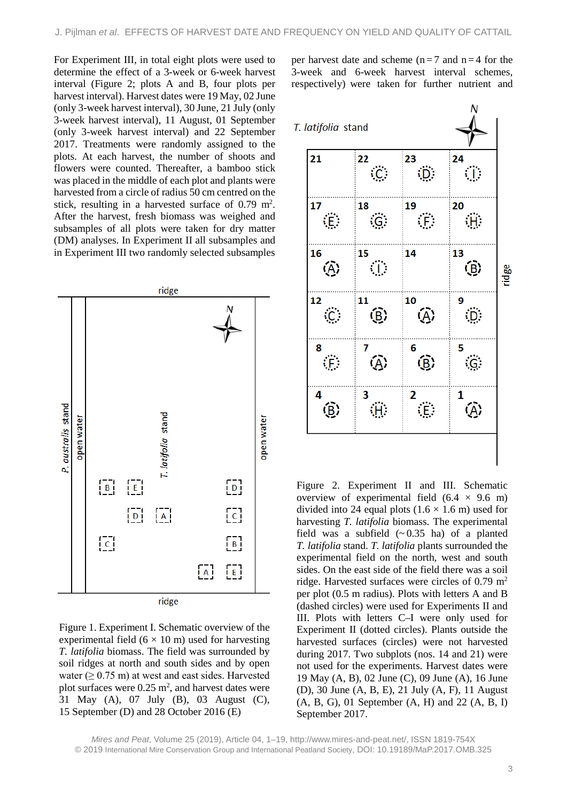For Experiment III, in total eight plots were used to determine the effect of a 3-week or 6-week harvest interval (Figure 2; plots A and B, four plots per harvest interval). Harvest dates were 19 May, 02 June (only 3-week harvest interval), 30 June, 21 July (only 3-week harvest interval), 11 August, 01 September (only 3-week harvest interval) and 22 September 2017. Treatments were randomly assigned to the plots. At each harvest, the number of shoots and flowers were counted. Thereafter, a bamboo stick was placed in the middle of each plot and plants were harvested from a circle of radius 50 cm centred on the stick, resulting in a harvested surface of  $0.79 \text{ m}^2$ . After the harvest, fresh biomass was weighed and subsamples of all plots were taken for dry matter (DM) analyses. In Experiment II all subsamples and in Experiment III two randomly selected subsamples



Figure 1. Experiment I. Schematic overview of the experimental field  $(6 \times 10 \text{ m})$  used for harvesting *T. latifolia* biomass. The field was surrounded by soil ridges at north and south sides and by open water ( $\geq$  0.75 m) at west and east sides. Harvested plot surfaces were  $0.25 \text{ m}^2$ , and harvest dates were 31 May (A), 07 July (B), 03 August (C), 15 September (D) and 28 October 2016 (E)

per harvest date and scheme ( $n = 7$  and  $n = 4$  for the 3-week and 6-week harvest interval schemes, respectively) were taken for further nutrient and



Figure 2. Experiment II and III. Schematic overview of experimental field  $(6.4 \times 9.6 \text{ m})$ divided into 24 equal plots  $(1.6 \times 1.6 \text{ m})$  used for harvesting *T. latifolia* biomass. The experimental field was a subfield  $(\sim 0.35 \text{ ha})$  of a planted *T. latifolia* stand. *T. latifolia* plants surrounded the experimental field on the north, west and south sides. On the east side of the field there was a soil ridge. Harvested surfaces were circles of  $0.79 \text{ m}^2$ per plot (0.5 m radius). Plots with letters A and B (dashed circles) were used for Experiments II and III. Plots with letters C–I were only used for Experiment II (dotted circles). Plants outside the harvested surfaces (circles) were not harvested during 2017. Two subplots (nos. 14 and 21) were not used for the experiments. Harvest dates were 19 May (A, B), 02 June (C), 09 June (A), 16 June (D), 30 June (A, B, E), 21 July (A, F), 11 August  $(A, B, G)$ , 01 September  $(A, H)$  and 22  $(A, B, I)$ September 2017.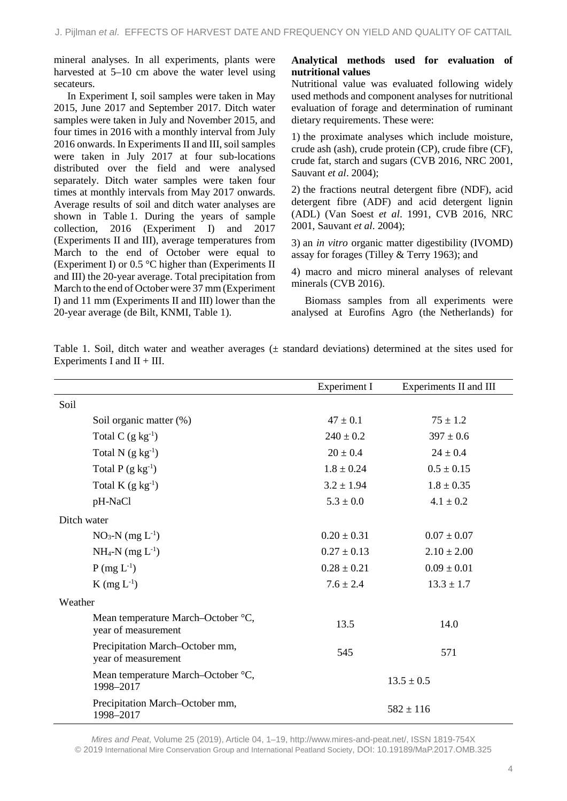mineral analyses. In all experiments, plants were harvested at 5–10 cm above the water level using secateurs.

In Experiment I, soil samples were taken in May 2015, June 2017 and September 2017. Ditch water samples were taken in July and November 2015, and four times in 2016 with a monthly interval from July 2016 onwards. In Experiments II and III, soil samples were taken in July 2017 at four sub-locations distributed over the field and were analysed separately. Ditch water samples were taken four times at monthly intervals from May 2017 onwards. Average results of soil and ditch water analyses are shown in Table 1. During the years of sample collection, 2016 (Experiment I) and 2017 (Experiments II and III), average temperatures from March to the end of October were equal to (Experiment I) or 0.5 °C higher than (Experiments II and III) the 20-year average. Total precipitation from March to the end of October were 37 mm (Experiment I) and 11 mm (Experiments II and III) lower than the 20-year average (de Bilt, KNMI, Table 1).

# **Analytical methods used for evaluation of nutritional values**

Nutritional value was evaluated following widely used methods and component analyses for nutritional evaluation of forage and determination of ruminant dietary requirements. These were:

1) the proximate analyses which include moisture, crude ash (ash), crude protein (CP), crude fibre (CF), crude fat, starch and sugars (CVB 2016, NRC 2001, Sauvant *et al*. 2004);

2) the fractions neutral detergent fibre (NDF), acid detergent fibre (ADF) and acid detergent lignin (ADL) (Van Soest *et al*. 1991, CVB 2016, NRC 2001, Sauvant *et al*. 2004);

3) an *in vitro* organic matter digestibility (IVOMD) assay for forages (Tilley & Terry 1963); and

4) macro and micro mineral analyses of relevant minerals (CVB 2016).

Biomass samples from all experiments were analysed at Eurofins Agro (the Netherlands) for

| Table 1. Soil, ditch water and weather averages $(\pm$ standard deviations) determined at the sites used for |  |  |  |  |  |  |  |
|--------------------------------------------------------------------------------------------------------------|--|--|--|--|--|--|--|
| Experiments I and $II + III$ .                                                                               |  |  |  |  |  |  |  |

|                                                           | <b>Experiment I</b> | Experiments II and III |
|-----------------------------------------------------------|---------------------|------------------------|
| Soil                                                      |                     |                        |
| Soil organic matter (%)                                   | $47 \pm 0.1$        | $75 \pm 1.2$           |
| Total C $(g \ kg^{-1})$                                   | $240 \pm 0.2$       | $397 \pm 0.6$          |
| Total N $(g \ kg^{-1})$                                   | $20 \pm 0.4$        | $24 \pm 0.4$           |
| Total $P(g kg^{-1})$                                      | $1.8 \pm 0.24$      | $0.5 \pm 0.15$         |
| Total $K$ (g $kg^{-1}$ )                                  | $3.2 \pm 1.94$      | $1.8 \pm 0.35$         |
| pH-NaCl                                                   | $5.3 \pm 0.0$       | $4.1 \pm 0.2$          |
| Ditch water                                               |                     |                        |
| $NO_3-N$ (mg $L^{-1}$ )                                   | $0.20 \pm 0.31$     | $0.07 \pm 0.07$        |
| $NH_4-N$ (mg $L^{-1}$ )                                   | $0.27 \pm 0.13$     | $2.10 \pm 2.00$        |
| $P(mg L^{-1})$                                            | $0.28 \pm 0.21$     | $0.09 \pm 0.01$        |
| $K$ (mg $L^{-1}$ )                                        | $7.6 \pm 2.4$       | $13.3 \pm 1.7$         |
| Weather                                                   |                     |                        |
| Mean temperature March-October °C,<br>year of measurement | 13.5                | 14.0                   |
| Precipitation March-October mm,<br>year of measurement    | 545                 | 571                    |
| Mean temperature March-October °C,<br>1998-2017           |                     | $13.5 \pm 0.5$         |
| Precipitation March-October mm,<br>1998-2017              |                     | $582 \pm 116$          |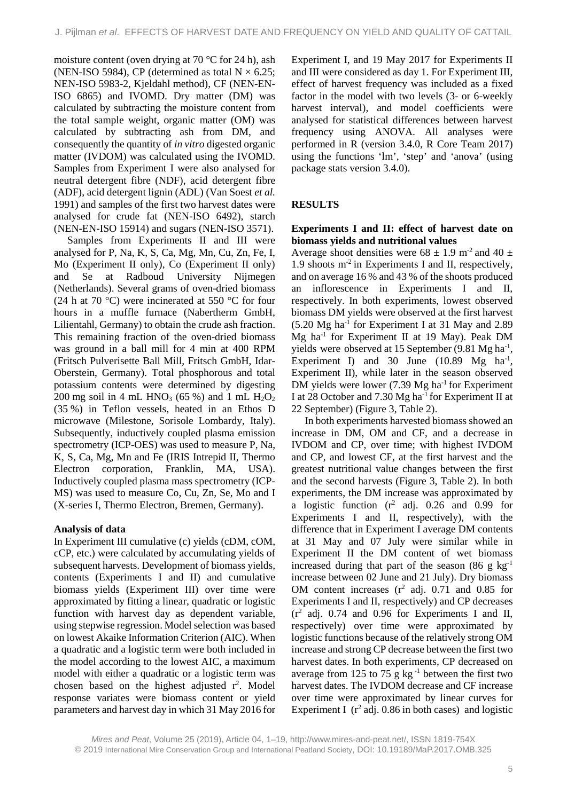moisture content (oven drying at 70 °C for 24 h), ash (NEN-ISO 5984), CP (determined as total  $N \times 6.25$ ; NEN-ISO 5983-2, Kjeldahl method), CF (NEN-EN-ISO 6865) and IVOMD. Dry matter (DM) was calculated by subtracting the moisture content from the total sample weight, organic matter (OM) was calculated by subtracting ash from DM, and consequently the quantity of *in vitro* digested organic matter (IVDOM) was calculated using the IVOMD. Samples from Experiment I were also analysed for neutral detergent fibre (NDF), acid detergent fibre (ADF), acid detergent lignin (ADL) (Van Soest *et al.* 1991) and samples of the first two harvest dates were analysed for crude fat (NEN-ISO 6492), starch (NEN-EN-ISO 15914) and sugars (NEN-ISO 3571).

Samples from Experiments II and III were analysed for P, Na, K, S, Ca, Mg, Mn, Cu, Zn, Fe, I, Mo (Experiment II only), Co (Experiment II only) and Se at Radboud University Nijmegen (Netherlands). Several grams of oven-dried biomass (24 h at 70 °C) were incinerated at 550 °C for four hours in a muffle furnace (Nabertherm GmbH, Lilientahl, Germany) to obtain the crude ash fraction. This remaining fraction of the oven-dried biomass was ground in a ball mill for 4 min at 400 RPM (Fritsch Pulverisette Ball Mill, Fritsch GmbH, Idar-Oberstein, Germany). Total phosphorous and total potassium contents were determined by digesting 200 mg soil in 4 mL HNO<sub>3</sub> (65 %) and 1 mL H<sub>2</sub>O<sub>2</sub> (35 %) in Teflon vessels, heated in an Ethos D microwave (Milestone, Sorisole Lombardy, Italy). Subsequently, inductively coupled plasma emission spectrometry (ICP-OES) was used to measure P, Na, K, S, Ca, Mg, Mn and Fe (IRIS Intrepid II, Thermo Electron corporation, Franklin, MA, USA). Inductively coupled plasma mass spectrometry (ICP-MS) was used to measure Co, Cu, Zn, Se, Mo and I (X-series I, Thermo Electron, Bremen, Germany).

### **Analysis of data**

In Experiment III cumulative (c) yields (cDM, cOM, cCP, etc.) were calculated by accumulating yields of subsequent harvests. Development of biomass yields, contents (Experiments I and II) and cumulative biomass yields (Experiment III) over time were approximated by fitting a linear, quadratic or logistic function with harvest day as dependent variable, using stepwise regression. Model selection was based on lowest Akaike Information Criterion (AIC). When a quadratic and a logistic term were both included in the model according to the lowest AIC, a maximum model with either a quadratic or a logistic term was chosen based on the highest adjusted r 2 . Model response variates were biomass content or yield parameters and harvest day in which 31 May 2016 for

Experiment I, and 19 May 2017 for Experiments II and III were considered as day 1. For Experiment III, effect of harvest frequency was included as a fixed factor in the model with two levels (3- or 6-weekly harvest interval), and model coefficients were analysed for statistical differences between harvest frequency using ANOVA. All analyses were performed in R (version 3.4.0, R Core Team 2017) using the functions 'lm', 'step' and 'anova' (using package stats version 3.4.0).

# **RESULTS**

### **Experiments I and II: effect of harvest date on biomass yields and nutritional values**

Average shoot densities were  $68 \pm 1.9$  m<sup>-2</sup> and  $40 \pm$ 1.9 shoots  $m<sup>2</sup>$  in Experiments I and II, respectively, and on average 16 % and 43 % of the shoots produced an inflorescence in Experiments I and II, respectively. In both experiments, lowest observed biomass DM yields were observed at the first harvest  $(5.20 \text{ Mg} \text{ ha}^{-1}$  for Experiment I at 31 May and 2.89  $Mg$  ha<sup>-1</sup> for Experiment II at 19 May). Peak DM yields were observed at 15 September (9.81 Mg ha<sup>-1</sup>, Experiment I) and 30 June  $(10.89 \text{ Mg} \text{ ha}^{-1})$ , Experiment II), while later in the season observed DM yields were lower  $(7.39 \text{ Mg} \text{ ha}^{-1}$  for Experiment I at 28 October and 7.30 Mg ha-1 for Experiment II at 22 September) (Figure 3, Table 2).

In both experiments harvested biomass showed an increase in DM, OM and CF, and a decrease in IVDOM and CP, over time; with highest IVDOM and CP, and lowest CF, at the first harvest and the greatest nutritional value changes between the first and the second harvests (Figure 3, Table 2). In both experiments, the DM increase was approximated by a logistic function (r <sup>2</sup> adj. 0.26 and 0.99 for Experiments I and II, respectively), with the difference that in Experiment I average DM contents at 31 May and 07 July were similar while in Experiment II the DM content of wet biomass increased during that part of the season  $(86 \text{ g kg}^{-1})$ increase between 02 June and 21 July). Dry biomass OM content increases (r <sup>2</sup> adj. 0.71 and 0.85 for Experiments I and II, respectively) and CP decreases (r <sup>2</sup> adj. 0.74 and 0.96 for Experiments I and II, respectively) over time were approximated by logistic functions because of the relatively strong OM increase and strong CP decrease between the first two harvest dates. In both experiments, CP decreased on average from 125 to 75 g  $kg^{-1}$  between the first two harvest dates. The IVDOM decrease and CF increase over time were approximated by linear curves for Experiment I  $(r^2 \text{ adj. } 0.86 \text{ in both cases})$  and logistic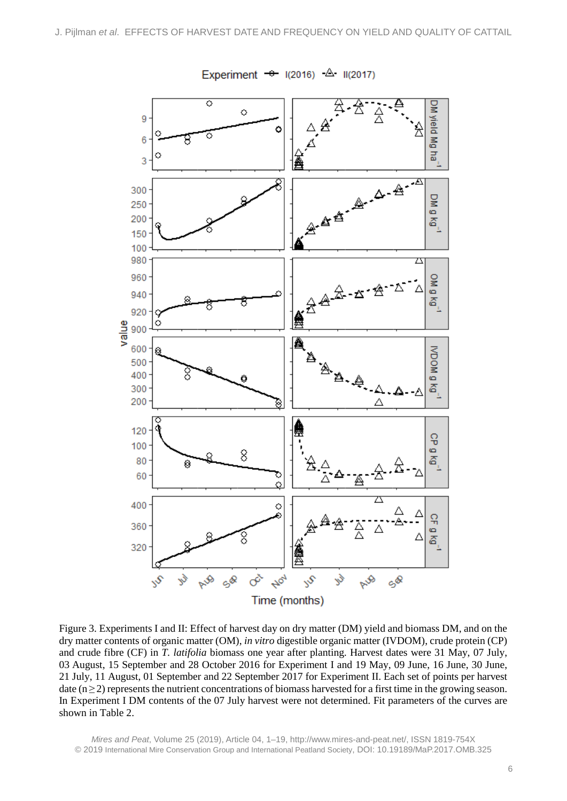

Experiment  $\rightarrow$  1(2016)  $\triangle$  11(2017)

Figure 3. Experiments I and II: Effect of harvest day on dry matter (DM) yield and biomass DM, and on the dry matter contents of organic matter (OM), *in vitro* digestible organic matter (IVDOM), crude protein (CP) and crude fibre (CF) in *T. latifolia* biomass one year after planting. Harvest dates were 31 May, 07 July, 03 August, 15 September and 28 October 2016 for Experiment I and 19 May, 09 June, 16 June, 30 June, 21 July, 11 August, 01 September and 22 September 2017 for Experiment II. Each set of points per harvest date  $(n \ge 2)$  represents the nutrient concentrations of biomass harvested for a first time in the growing season. In Experiment I DM contents of the 07 July harvest were not determined. Fit parameters of the curves are shown in Table 2.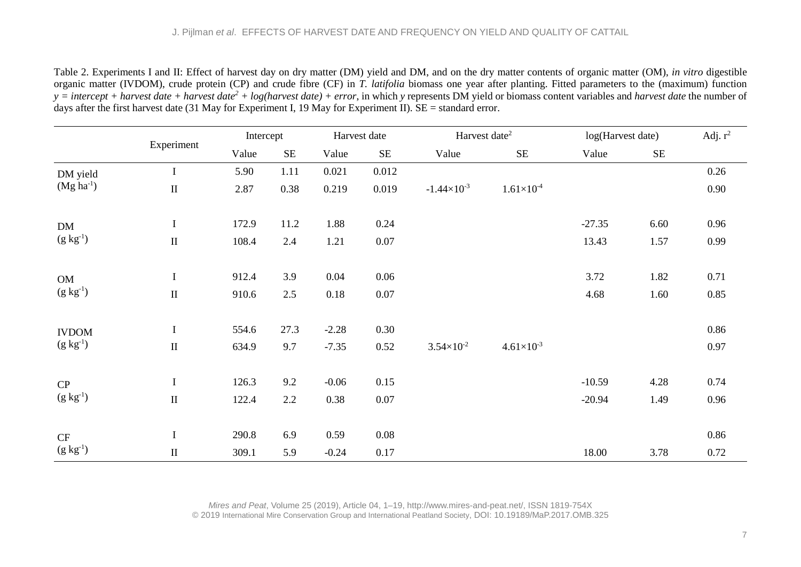Table 2. Experiments I and II: Effect of harvest day on dry matter (DM) yield and DM, and on the dry matter contents of organic matter (OM), *in vitro* digestible organic matter (IVDOM), crude protein (CP) and crude fibre (CF) in *T. latifolia* biomass one year after planting. Fitted parameters to the (maximum) function *y = intercept + harvest date + harvest date<sup>2</sup> + log(harvest date) + error*, in which *y* represents DM yield or biomass content variables and *harvest date* the number of days after the first harvest date (31 May for Experiment I, 19 May for Experiment II).  $SE =$  standard error.

|                        |             | Intercept |          |         | Harvest date | Harvest date <sup>2</sup> |                     | log(Harvest date) |          | Adj. $r^2$ |
|------------------------|-------------|-----------|----------|---------|--------------|---------------------------|---------------------|-------------------|----------|------------|
|                        | Experiment  | Value     | $\rm SE$ | Value   | <b>SE</b>    | Value                     | <b>SE</b>           | Value             | $\rm SE$ |            |
| DM yield               | I           | 5.90      | 1.11     | 0.021   | 0.012        |                           |                     |                   |          | 0.26       |
| $(Mg ha-1)$            | $\rm II$    | 2.87      | 0.38     | 0.219   | 0.019        | $-1.44 \times 10^{-3}$    | $1.61\times10^{-4}$ |                   |          | 0.90       |
| DM                     | $\mathbf I$ | 172.9     | 11.2     | 1.88    | 0.24         |                           |                     | $-27.35$          | 6.60     | 0.96       |
| $(g \, kg^{-1})$       | $\rm II$    | 108.4     | 2.4      | 1.21    | $0.07\,$     |                           |                     | 13.43             | 1.57     | 0.99       |
| OM                     | $\mathbf I$ | 912.4     | 3.9      | 0.04    | 0.06         |                           |                     | 3.72              | 1.82     | 0.71       |
| $(g \; kg^{-1})$       | $\rm II$    | 910.6     | 2.5      | 0.18    | 0.07         |                           |                     | 4.68              | 1.60     | 0.85       |
| <b>IVDOM</b>           | $\mathbf I$ | 554.6     | 27.3     | $-2.28$ | 0.30         |                           |                     |                   |          | 0.86       |
| $(g \; kg^{-1})$       | $\rm II$    | 634.9     | 9.7      | $-7.35$ | 0.52         | $3.54 \times 10^{-2}$     | $4.61\times10^{-3}$ |                   |          | 0.97       |
| CP                     | $\mathbf I$ | 126.3     | 9.2      | $-0.06$ | 0.15         |                           |                     | $-10.59$          | 4.28     | 0.74       |
| $(g \, kg^{-1})$       | $\rm II$    | 122.4     | $2.2\,$  | 0.38    | 0.07         |                           |                     | $-20.94$          | 1.49     | 0.96       |
|                        | $\mathbf I$ | 290.8     | 6.9      | 0.59    | 0.08         |                           |                     |                   |          | 0.86       |
| CF<br>$(g \; kg^{-1})$ | $\rm II$    | 309.1     | 5.9      | $-0.24$ | 0.17         |                           |                     | 18.00             | 3.78     | 0.72       |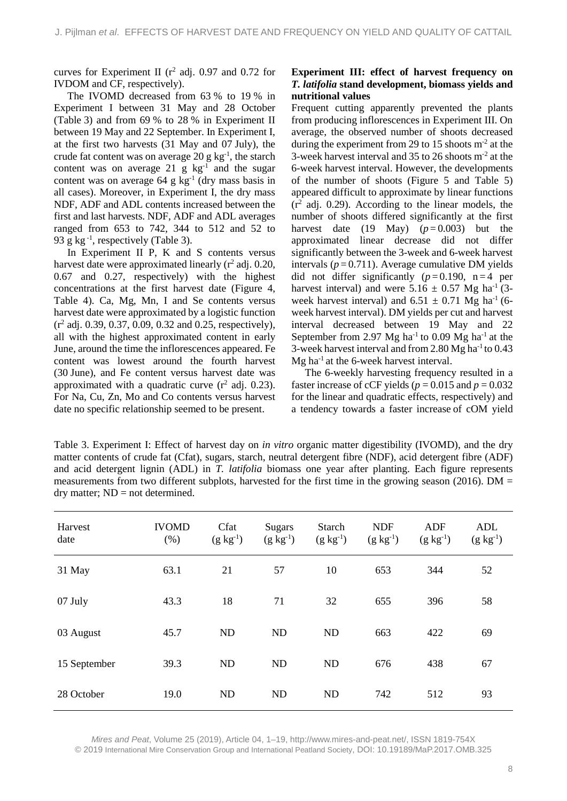curves for Experiment II ( $r^2$  adj. 0.97 and 0.72 for IVDOM and CF, respectively).

The IVOMD decreased from 63 % to 19 % in Experiment I between 31 May and 28 October (Table 3) and from 69 % to 28 % in Experiment II between 19 May and 22 September. In Experiment I, at the first two harvests (31 May and 07 July), the crude fat content was on average 20 g  $kg^{-1}$ , the starch content was on average  $21 \text{ g kg}^{-1}$  and the sugar content was on average 64 g kg-1 (dry mass basis in all cases). Moreover, in Experiment I, the dry mass NDF, ADF and ADL contents increased between the first and last harvests. NDF, ADF and ADL averages ranged from 653 to 742, 344 to 512 and 52 to 93 g kg $^{-1}$ , respectively (Table 3).

In Experiment II P, K and S contents versus harvest date were approximated linearly  $(r^2 \text{ adj. } 0.20,$ 0.67 and 0.27, respectively) with the highest concentrations at the first harvest date (Figure 4, Table 4). Ca, Mg, Mn, I and Se contents versus harvest date were approximated by a logistic function (r <sup>2</sup> adj. 0.39, 0.37, 0.09, 0.32 and 0.25, respectively), all with the highest approximated content in early June, around the time the inflorescences appeared. Fe content was lowest around the fourth harvest (30 June), and Fe content versus harvest date was approximated with a quadratic curve  $(r^2 \text{ adj. } 0.23)$ . For Na, Cu, Zn, Mo and Co contents versus harvest date no specific relationship seemed to be present.

# **Experiment III: effect of harvest frequency on**  *T. latifolia* **stand development, biomass yields and nutritional values**

Frequent cutting apparently prevented the plants from producing inflorescences in Experiment III. On average, the observed number of shoots decreased during the experiment from 29 to 15 shoots  $m<sup>2</sup>$  at the 3-week harvest interval and 35 to 26 shoots m-2 at the 6-week harvest interval. However, the developments of the number of shoots (Figure 5 and Table 5) appeared difficult to approximate by linear functions  $(r^2 \text{ adi. } 0.29)$ . According to the linear models, the number of shoots differed significantly at the first harvest date (19 May)  $(p=0.003)$  but the approximated linear decrease did not differ significantly between the 3-week and 6-week harvest intervals  $(p=0.711)$ . Average cumulative DM yields did not differ significantly  $(p=0.190, n=4$  per harvest interval) and were  $5.16 \pm 0.57$  Mg ha<sup>-1</sup> (3week harvest interval) and  $6.51 \pm 0.71$  Mg ha<sup>-1</sup> (6week harvest interval). DM yields per cut and harvest interval decreased between 19 May and 22 September from 2.97 Mg ha<sup>-1</sup> to 0.09 Mg ha<sup>-1</sup> at the 3-week harvest interval and from  $2.80$  Mg ha<sup>-1</sup> to  $0.43$  $Mg$  ha<sup>-1</sup> at the 6-week harvest interval.

The 6-weekly harvesting frequency resulted in a faster increase of cCF yields ( $p = 0.015$  and  $p = 0.032$ ) for the linear and quadratic effects, respectively) and a tendency towards a faster increase of cOM yield

Table 3. Experiment I: Effect of harvest day on *in vitro* organic matter digestibility (IVOMD), and the dry matter contents of crude fat (Cfat), sugars, starch, neutral detergent fibre (NDF), acid detergent fibre (ADF) and acid detergent lignin (ADL) in *T. latifolia* biomass one year after planting. Each figure represents measurements from two different subplots, harvested for the first time in the growing season (2016).  $DM =$  $\text{dry matter}$ ; ND = not determined.

| Harvest<br>date | <b>IVOMD</b><br>(% ) | Cfat<br>$(g \, kg^{-1})$ | <b>Sugars</b><br>$(g \, kg^{-1})$ | <b>Starch</b><br>$(g \; kg^{-1})$ | <b>NDF</b><br>$(g \, kg^{-1})$ | ADF<br>$(g \ kg^{-1})$ | ADL<br>$(g \, kg^{-1})$ |
|-----------------|----------------------|--------------------------|-----------------------------------|-----------------------------------|--------------------------------|------------------------|-------------------------|
| 31 May          | 63.1                 | 21                       | 57                                | 10                                | 653                            | 344                    | 52                      |
| 07 July         | 43.3                 | 18                       | 71                                | 32                                | 655                            | 396                    | 58                      |
| 03 August       | 45.7                 | ND                       | ND                                | ND                                | 663                            | 422                    | 69                      |
| 15 September    | 39.3                 | ND                       | ND                                | ND                                | 676                            | 438                    | 67                      |
| 28 October      | 19.0                 | ND                       | <b>ND</b>                         | ND                                | 742                            | 512                    | 93                      |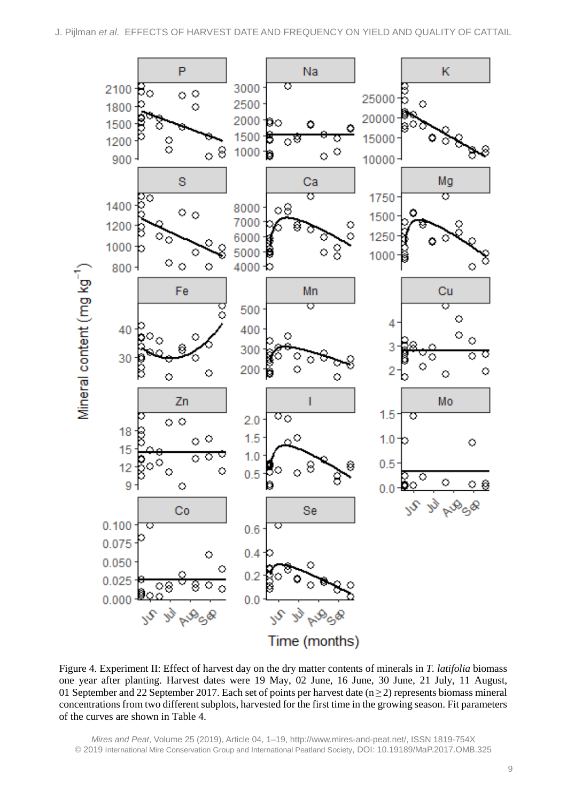

Figure 4. Experiment II: Effect of harvest day on the dry matter contents of minerals in *T. latifolia* biomass one year after planting. Harvest dates were 19 May, 02 June, 16 June, 30 June, 21 July, 11 August, 01 September and 22 September 2017. Each set of points per harvest date ( $n \ge 2$ ) represents biomass mineral concentrations from two different subplots, harvested for the first time in the growing season. Fit parameters of the curves are shown in Table 4.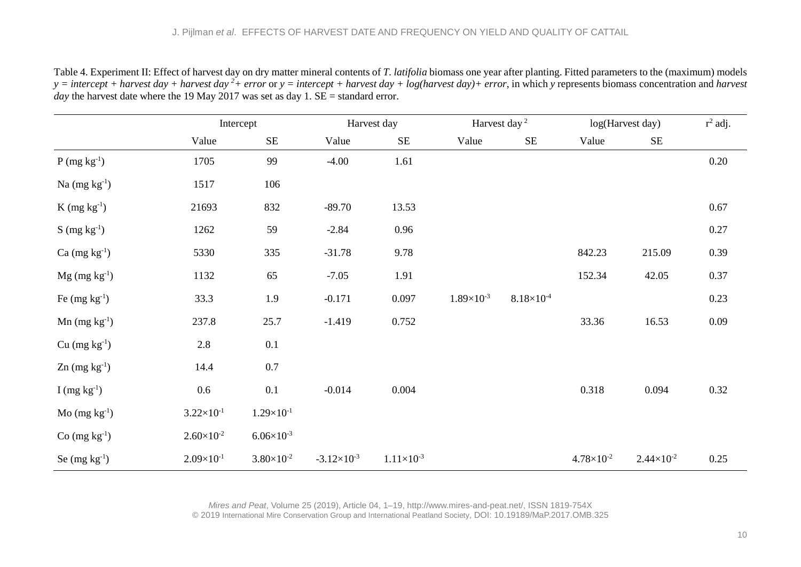|                             |                       | Intercept           |                      | Harvest day           |                     | Harvest day <sup>2</sup> |                     | log(Harvest day)      | $r^2$ adj. |
|-----------------------------|-----------------------|---------------------|----------------------|-----------------------|---------------------|--------------------------|---------------------|-----------------------|------------|
|                             | Value                 | $\rm SE$            | Value                | $\rm SE$              | Value               | <b>SE</b>                | Value               | $\rm SE$              |            |
| $P (mg kg^{-1})$            | 1705                  | 99                  | $-4.00$              | 1.61                  |                     |                          |                     |                       | 0.20       |
| Na $(mg kg^{-1})$           | 1517                  | 106                 |                      |                       |                     |                          |                     |                       |            |
| $K$ (mg $kg^{-1}$ )         | 21693                 | 832                 | $-89.70$             | 13.53                 |                     |                          |                     |                       | 0.67       |
| $S \, (\text{mg kg}^{-1})$  | 1262                  | 59                  | $-2.84$              | 0.96                  |                     |                          |                     |                       | 0.27       |
| Ca $(mg kg^{-1})$           | 5330                  | 335                 | $-31.78$             | 9.78                  |                     |                          | 842.23              | 215.09                | 0.39       |
| $Mg$ (mg kg <sup>-1</sup> ) | 1132                  | 65                  | $-7.05$              | 1.91                  |                     |                          | 152.34              | 42.05                 | 0.37       |
| Fe $(mg kg^{-1})$           | 33.3                  | 1.9                 | $-0.171$             | 0.097                 | $1.89\times10^{-3}$ | $8.18 \times 10^{-4}$    |                     |                       | 0.23       |
| $Mn$ (mg $kg^{-1}$ )        | 237.8                 | 25.7                | $-1.419$             | 0.752                 |                     |                          | 33.36               | 16.53                 | 0.09       |
| $Cu$ (mg $kg^{-1}$ )        | 2.8                   | 0.1                 |                      |                       |                     |                          |                     |                       |            |
| $Zn$ (mg $kg^{-1}$ )        | 14.4                  | $0.7\,$             |                      |                       |                     |                          |                     |                       |            |
| I (mg $kg^{-1}$ )           | 0.6                   | 0.1                 | $-0.014$             | 0.004                 |                     |                          | 0.318               | 0.094                 | 0.32       |
| $Mo$ (mg kg <sup>-1</sup> ) | $3.22 \times 10^{-1}$ | $1.29\times10^{-1}$ |                      |                       |                     |                          |                     |                       |            |
| $Co$ (mg $kg^{-1}$ )        | $2.60\times10^{-2}$   | $6.06\times10^{-3}$ |                      |                       |                     |                          |                     |                       |            |
| Se $(mg kg^{-1})$           | $2.09\times10^{-1}$   | $3.80\times10^{-2}$ | $-3.12\times10^{-3}$ | $1.11 \times 10^{-3}$ |                     |                          | $4.78\times10^{-2}$ | $2.44 \times 10^{-2}$ | 0.25       |

Table 4. Experiment II: Effect of harvest day on dry matter mineral contents of *T. latifolia* biomass one year after planting. Fitted parameters to the (maximum) models *y = intercept + harvest day + harvest day 2 + error* or *y = intercept + harvest day + log(harvest day)+ error*, in which *y* represents biomass concentration and *harvest day* the harvest date where the 19 May 2017 was set as day 1. SE = standard error.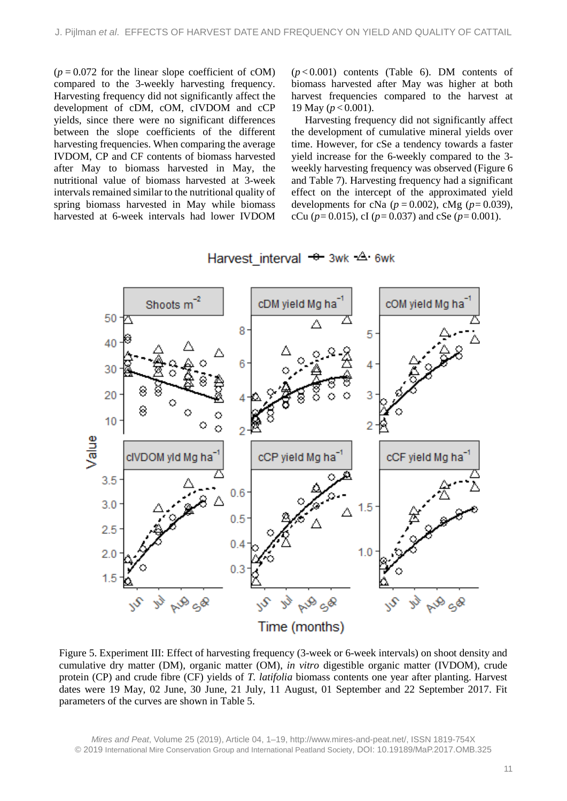$(p=0.072$  for the linear slope coefficient of cOM) compared to the 3-weekly harvesting frequency. Harvesting frequency did not significantly affect the development of cDM, cOM, cIVDOM and cCP yields, since there were no significant differences between the slope coefficients of the different harvesting frequencies. When comparing the average IVDOM, CP and CF contents of biomass harvested after May to biomass harvested in May, the nutritional value of biomass harvested at 3-week intervals remained similar to the nutritional quality of spring biomass harvested in May while biomass harvested at 6-week intervals had lower IVDOM  $(p<0.001)$  contents (Table 6). DM contents of biomass harvested after May was higher at both harvest frequencies compared to the harvest at 19 May (*p* < 0.001).

Harvesting frequency did not significantly affect the development of cumulative mineral yields over time. However, for cSe a tendency towards a faster yield increase for the 6-weekly compared to the 3 weekly harvesting frequency was observed (Figure 6 and Table 7). Harvesting frequency had a significant effect on the intercept of the approximated yield developments for cNa ( $p=0.002$ ), cMg ( $p=0.039$ ), cCu ( $p=0.015$ ), cI ( $p=0.037$ ) and cSe ( $p=0.001$ ).

Harvest interval  $\div$  3wk  $\triangle$  6wk



Figure 5. Experiment III: Effect of harvesting frequency (3-week or 6-week intervals) on shoot density and cumulative dry matter (DM), organic matter (OM), *in vitro* digestible organic matter (IVDOM), crude protein (CP) and crude fibre (CF) yields of *T. latifolia* biomass contents one year after planting. Harvest dates were 19 May, 02 June, 30 June, 21 July, 11 August, 01 September and 22 September 2017. Fit parameters of the curves are shown in Table 5.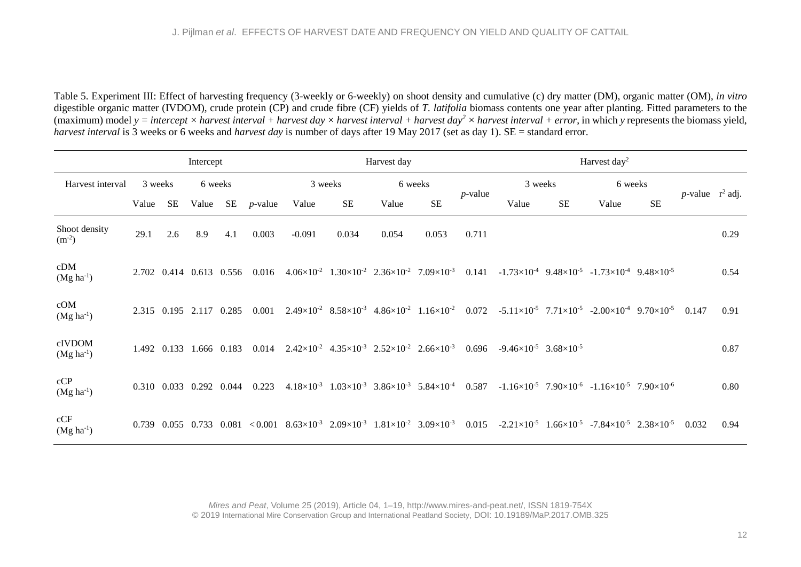Table 5. Experiment III: Effect of harvesting frequency (3-weekly or 6-weekly) on shoot density and cumulative (c) dry matter (DM), organic matter (OM), *in vitro* digestible organic matter (IVDOM), crude protein (CP) and crude fibre (CF) yields of *T. latifolia* biomass contents one year after planting. Fitted parameters to the (maximum) model  $y = intercept \times harvest\ interval + harvest\ day \times harvest\ interval + harvest\ day^2 \times harvest\ decay + 2$  *harvest day<sup>2</sup>*  $\times$  *harvest interval* + *error*, in which *y* represents the biomass yield, *harvest interval* is 3 weeks or 6 weeks and *harvest day* is number of days after 19 May 2017 (set as day 1). SE = standard error.

|                             | Intercept |             |                   |             |            | Harvest day                                                                                                                          |                                                                                 |       |           | Harvest day <sup>2</sup> |                                           |           |                                                                                     |           |                            |      |
|-----------------------------|-----------|-------------|-------------------|-------------|------------|--------------------------------------------------------------------------------------------------------------------------------------|---------------------------------------------------------------------------------|-------|-----------|--------------------------|-------------------------------------------|-----------|-------------------------------------------------------------------------------------|-----------|----------------------------|------|
| Harvest interval            |           | 3 weeks     | 6 weeks           |             |            |                                                                                                                                      | 3 weeks                                                                         |       | 6 weeks   |                          | 3 weeks                                   |           | 6 weeks                                                                             |           |                            |      |
|                             | Value     | SE          | Value             | SE          | $p$ -value | Value                                                                                                                                | <b>SE</b>                                                                       | Value | <b>SE</b> | $p$ -value               | Value                                     | <b>SE</b> | Value                                                                               | <b>SE</b> | <i>p</i> -value $r^2$ adj. |      |
| Shoot density<br>$(m^{-2})$ | 29.1      | 2.6         | 8.9               | 4.1         | 0.003      | $-0.091$                                                                                                                             | 0.034                                                                           | 0.054 | 0.053     | 0.711                    |                                           |           |                                                                                     |           |                            | 0.29 |
| cDM<br>$(Mg ha-1)$          |           |             | 2.702 0.414 0.613 | 0.556       | 0.016      |                                                                                                                                      | $4.06\times10^{-2}$ $1.30\times10^{-2}$ $2.36\times10^{-2}$ $7.09\times10^{-3}$ |       |           | 0.141                    |                                           |           | $-1.73\times10^{-4}$ 9.48 $\times10^{-5}$ $-1.73\times10^{-4}$ 9.48 $\times10^{-5}$ |           |                            | 0.54 |
| cOM<br>$(Mg ha-1)$          |           |             | 2.315 0.195 2.117 | 0.285       | 0.001      |                                                                                                                                      | $2.49\times10^{-2}$ $8.58\times10^{-3}$ $4.86\times10^{-2}$ $1.16\times10^{-2}$ |       |           | 0.072                    |                                           |           | $-5.11\times10^{-5}$ $7.71\times10^{-5}$ $-2.00\times10^{-4}$ $9.70\times10^{-5}$   |           | 0.147                      | 0.91 |
| cIVDOM<br>$(Mg ha-1)$       |           | 1.492 0.133 |                   | 1.666 0.183 | 0.014      |                                                                                                                                      | $2.42\times10^{-2}$ $4.35\times10^{-3}$ $2.52\times10^{-2}$ $2.66\times10^{-3}$ |       |           | 0.696                    | $-9.46\times10^{-5}$ 3.68 $\times10^{-5}$ |           |                                                                                     |           |                            | 0.87 |
| cCP<br>$(Mg ha^{-1})$       |           | 0.310 0.033 | 0.292             | 0.044       | 0.223      |                                                                                                                                      | $4.18\times10^{-3}$ $1.03\times10^{-3}$ $3.86\times10^{-3}$ $5.84\times10^{-4}$ |       |           | 0.587                    |                                           |           | $-1.16\times10^{-5}$ 7.90 $\times10^{-6}$ $-1.16\times10^{-5}$ 7.90 $\times10^{-6}$ |           |                            | 0.80 |
| cCF<br>$(Mg ha^{-1})$       |           |             | 0.739 0.055 0.733 | 0.081       |            | $<0.001$ 8.63 $\times$ 10 <sup>-3</sup> 2.09 $\times$ 10 <sup>-3</sup> 1.81 $\times$ 10 <sup>-2</sup> 3.09 $\times$ 10 <sup>-3</sup> |                                                                                 |       |           | 0.015                    |                                           |           | $-2.21\times10^{-5}$ 1.66 $\times10^{-5}$ $-7.84\times10^{-5}$ 2.38 $\times10^{-5}$ |           | 0.032                      | 0.94 |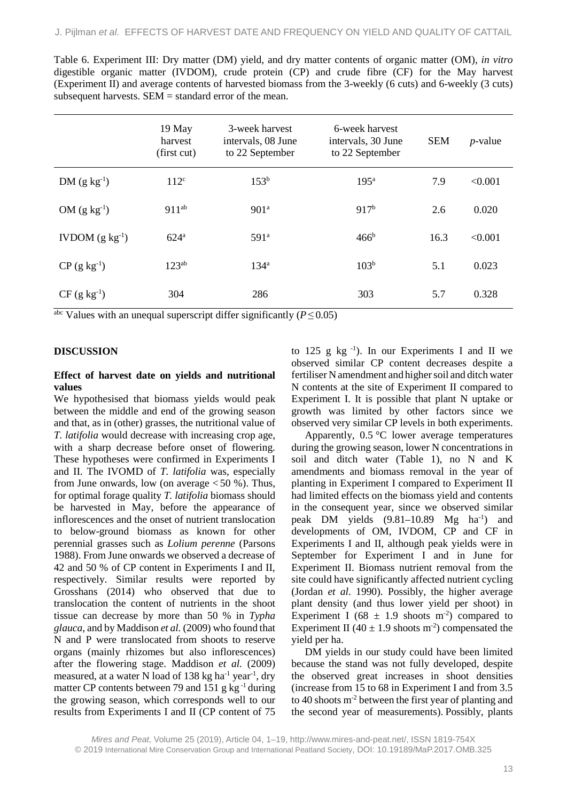| Table 6. Experiment III: Dry matter (DM) yield, and dry matter contents of organic matter (OM), in vitro   |
|------------------------------------------------------------------------------------------------------------|
| digestible organic matter (IVDOM), crude protein (CP) and crude fibre (CF) for the May harvest             |
| (Experiment II) and average contents of harvested biomass from the 3-weekly (6 cuts) and 6-weekly (3 cuts) |
| subsequent harvests. $SEM =$ standard error of the mean.                                                   |

|                       | 19 May<br>harvest<br>(first cut) | 3-week harvest<br>intervals, 08 June<br>to 22 September | 6-week harvest<br>intervals, 30 June<br>to 22 September | <b>SEM</b> | $p$ -value |
|-----------------------|----------------------------------|---------------------------------------------------------|---------------------------------------------------------|------------|------------|
| $DM (g kg-1)$         | 112 <sup>c</sup>                 | 153 <sup>b</sup>                                        | 195 <sup>a</sup>                                        | 7.9        | < 0.001    |
| OM $(g \ kg^{-1})$    | $911^{ab}$                       | 901 <sup>a</sup>                                        | 917 <sup>b</sup>                                        | 2.6        | 0.020      |
| IVDOM $(g \ kg^{-1})$ | 624 <sup>a</sup>                 | 591 <sup>a</sup>                                        | 466 <sup>b</sup>                                        | 16.3       | < 0.001    |
| $CP (g kg^{-1})$      | $123^{ab}$                       | 134 <sup>a</sup>                                        | 103 <sup>b</sup>                                        | 5.1        | 0.023      |
| $CF (g kg-1)$         | 304                              | 286                                                     | 303                                                     | 5.7        | 0.328      |

 $\frac{\text{abc}}{\text{b}}$  Values with an unequal superscript differ significantly (*P* ≤ 0.05)

#### **DISCUSSION**

#### **Effect of harvest date on yields and nutritional values**

We hypothesised that biomass yields would peak between the middle and end of the growing season and that, as in (other) grasses, the nutritional value of *T. latifolia* would decrease with increasing crop age, with a sharp decrease before onset of flowering. These hypotheses were confirmed in Experiments I and II. The IVOMD of *T. latifolia* was, especially from June onwards, low (on average  $< 50$  %). Thus, for optimal forage quality *T. latifolia* biomass should be harvested in May, before the appearance of inflorescences and the onset of nutrient translocation to below-ground biomass as known for other perennial grasses such as *Lolium perenne* (Parsons 1988). From June onwards we observed a decrease of 42 and 50 % of CP content in Experiments I and II, respectively. Similar results were reported by Grosshans (2014) who observed that due to translocation the content of nutrients in the shoot tissue can decrease by more than 50 % in *Typha glauca*, and by Maddison *et al.* (2009) who found that N and P were translocated from shoots to reserve organs (mainly rhizomes but also inflorescences) after the flowering stage. Maddison *et al.* (2009) measured, at a water N load of 138 kg ha<sup>-1</sup> year<sup>-1</sup>, dry matter CP contents between 79 and 151 g kg $^{-1}$  during the growing season, which corresponds well to our results from Experiments I and II (CP content of 75

to 125 g kg $^{-1}$ ). In our Experiments I and II we observed similar CP content decreases despite a fertiliser N amendment and higher soil and ditch water N contents at the site of Experiment II compared to Experiment I. It is possible that plant N uptake or growth was limited by other factors since we observed very similar CP levels in both experiments.

Apparently,  $0.5 \text{ °C}$  lower average temperatures during the growing season, lower N concentrations in soil and ditch water (Table 1), no N and K amendments and biomass removal in the year of planting in Experiment I compared to Experiment II had limited effects on the biomass yield and contents in the consequent year, since we observed similar peak DM yields (9.81-10.89 Mg ha<sup>-1</sup>) and developments of OM, IVDOM, CP and CF in Experiments I and II, although peak yields were in September for Experiment I and in June for Experiment II. Biomass nutrient removal from the site could have significantly affected nutrient cycling (Jordan *et al*. 1990). Possibly, the higher average plant density (and thus lower yield per shoot) in Experiment I (68  $\pm$  1.9 shoots m<sup>-2</sup>) compared to Experiment II (40  $\pm$  1.9 shoots m<sup>-2</sup>) compensated the yield per ha.

DM yields in our study could have been limited because the stand was not fully developed, despite the observed great increases in shoot densities (increase from 15 to 68 in Experiment I and from 3.5 to 40 shoots m-2 between the first year of planting and the second year of measurements). Possibly, plants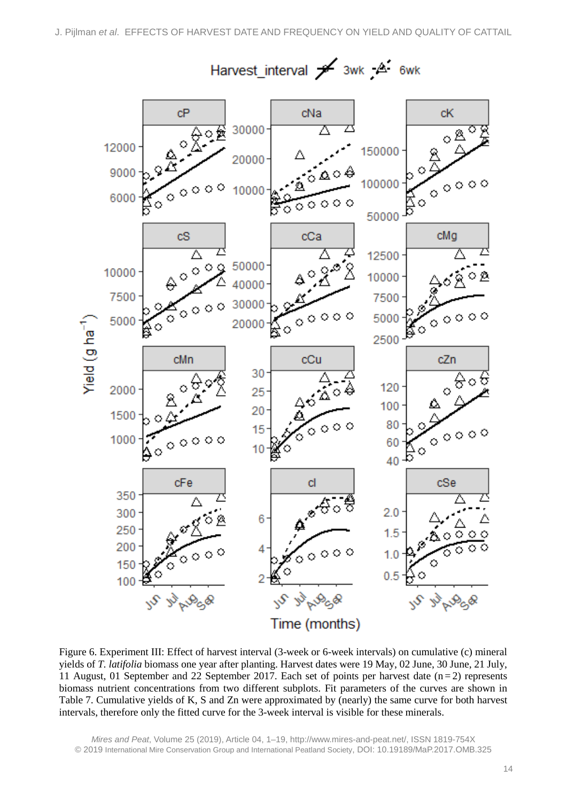

Figure 6. Experiment III: Effect of harvest interval (3-week or 6-week intervals) on cumulative (c) mineral yields of *T. latifolia* biomass one year after planting. Harvest dates were 19 May, 02 June, 30 June, 21 July, 11 August, 01 September and 22 September 2017. Each set of points per harvest date  $(n=2)$  represents biomass nutrient concentrations from two different subplots. Fit parameters of the curves are shown in Table 7. Cumulative yields of K, S and Zn were approximated by (nearly) the same curve for both harvest intervals, therefore only the fitted curve for the 3-week interval is visible for these minerals.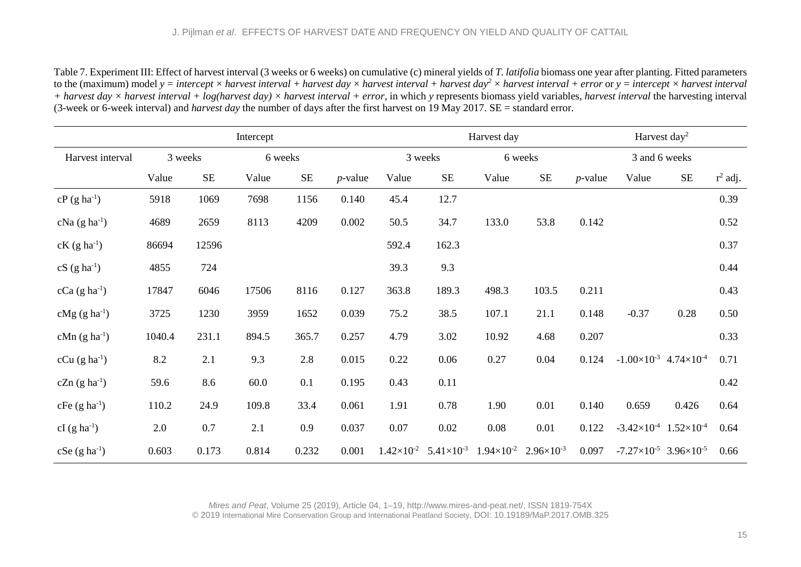Table 7. Experiment III: Effect of harvest interval (3 weeks or 6 weeks) on cumulative (c) mineral yields of *T. latifolia* biomass one year after planting. Fitted parameters to the (maximum) model  $y =$  *intercept*  $\times$  *harvest interval* + *harvest day*  $\times$  *harvest day*<sup>2</sup>  $\times$  *harvest interval* + *error* or  $y =$  *intercept*  $\times$  *harvest interval + harvest day × harvest interval + log(harvest day) × harvest interval + error*, in which *y* represents biomass yield variables, *harvest interval* the harvesting interval (3-week or 6-week interval) and *harvest day* the number of days after the first harvest on 19 May 2017. SE = standard error.

|                             |        |          | Intercept |          |            |                     | Harvest day         |                     |                       |            | Harvest day <sup>2</sup>                  |                                              |            |  |
|-----------------------------|--------|----------|-----------|----------|------------|---------------------|---------------------|---------------------|-----------------------|------------|-------------------------------------------|----------------------------------------------|------------|--|
| Harvest interval            |        | 3 weeks  | 6 weeks   |          |            | 3 weeks             |                     | 6 weeks             |                       |            |                                           | 3 and 6 weeks                                |            |  |
|                             | Value  | $\rm SE$ | Value     | $\rm SE$ | $p$ -value | Value               | $\rm SE$            | Value               | <b>SE</b>             | $p$ -value | Value                                     | <b>SE</b>                                    | $r^2$ adj. |  |
| $cP$ (g ha <sup>-1</sup> )  | 5918   | 1069     | 7698      | 1156     | 0.140      | 45.4                | 12.7                |                     |                       |            |                                           |                                              | 0.39       |  |
| $cNa$ (g ha <sup>-1</sup> ) | 4689   | 2659     | 8113      | 4209     | 0.002      | 50.5                | 34.7                | 133.0               | 53.8                  | 0.142      |                                           |                                              | 0.52       |  |
| $cK$ (g ha <sup>-1</sup> )  | 86694  | 12596    |           |          |            | 592.4               | 162.3               |                     |                       |            |                                           |                                              | 0.37       |  |
| $cS$ (g ha <sup>-1</sup> )  | 4855   | 724      |           |          |            | 39.3                | 9.3                 |                     |                       |            |                                           |                                              | 0.44       |  |
| $cCa (g ha-1)$              | 17847  | 6046     | 17506     | 8116     | 0.127      | 363.8               | 189.3               | 498.3               | 103.5                 | 0.211      |                                           |                                              | 0.43       |  |
| $cMg$ (g ha <sup>-1</sup> ) | 3725   | 1230     | 3959      | 1652     | 0.039      | 75.2                | 38.5                | 107.1               | 21.1                  | 0.148      | $-0.37$                                   | 0.28                                         | 0.50       |  |
| $cMn$ (g ha <sup>-1</sup> ) | 1040.4 | 231.1    | 894.5     | 365.7    | 0.257      | 4.79                | 3.02                | 10.92               | 4.68                  | 0.207      |                                           |                                              | 0.33       |  |
| $cCu$ (g ha <sup>-1</sup> ) | 8.2    | 2.1      | 9.3       | 2.8      | 0.015      | 0.22                | 0.06                | 0.27                | 0.04                  | 0.124      | $-1.00\times10^{-3}$ 4.74 $\times10^{-4}$ |                                              | 0.71       |  |
| $cZn$ (g ha <sup>-1</sup> ) | 59.6   | 8.6      | 60.0      | 0.1      | 0.195      | 0.43                | 0.11                |                     |                       |            |                                           |                                              | 0.42       |  |
| $cFe$ (g ha <sup>-1</sup> ) | 110.2  | 24.9     | 109.8     | 33.4     | 0.061      | 1.91                | 0.78                | 1.90                | 0.01                  | 0.140      | 0.659                                     | 0.426                                        | 0.64       |  |
| $cI$ (g ha <sup>-1</sup> )  | 2.0    | 0.7      | 2.1       | 0.9      | 0.037      | 0.07                | 0.02                | 0.08                | 0.01                  | 0.122      | $-3.42\times10^{-4}$ 1.52 $\times10^{-4}$ |                                              | 0.64       |  |
| $cSe(g ha^{-1})$            | 0.603  | 0.173    | 0.814     | 0.232    | 0.001      | $1.42\times10^{-2}$ | $5.41\times10^{-3}$ | $1.94\times10^{-2}$ | $2.96 \times 10^{-3}$ | 0.097      |                                           | $-7.27 \times 10^{-5}$ 3.96 $\times 10^{-5}$ | 0.66       |  |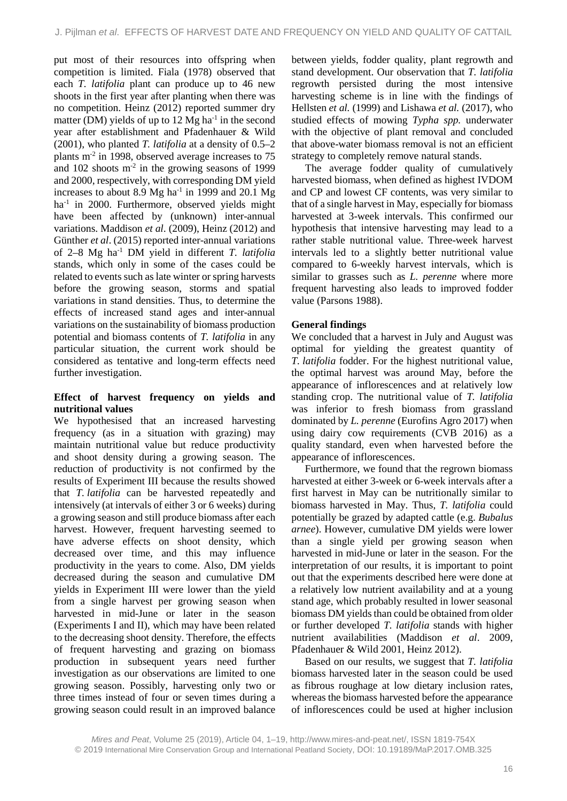put most of their resources into offspring when competition is limited. Fiala (1978) observed that each *T. latifolia* plant can produce up to 46 new shoots in the first year after planting when there was no competition. Heinz (2012) reported summer dry matter (DM) yields of up to  $12 \text{ Mg} \text{ ha}^{-1}$  in the second year after establishment and Pfadenhauer & Wild (2001), who planted *T. latifolia* at a density of 0.5–2 plants m-2 in 1998, observed average increases to 75 and  $102$  shoots  $m<sup>2</sup>$  in the growing seasons of 1999 and 2000, respectively, with corresponding DM yield increases to about 8.9 Mg ha<sup>-1</sup> in 1999 and 20.1 Mg ha<sup>-1</sup> in 2000. Furthermore, observed vields might have been affected by (unknown) inter-annual variations. Maddison *et al*. (2009), Heinz (2012) and Günther *et al*. (2015) reported inter-annual variations of 2–8 Mg ha-1 DM yield in different *T. latifolia* stands, which only in some of the cases could be related to events such as late winter or spring harvests before the growing season, storms and spatial variations in stand densities. Thus, to determine the effects of increased stand ages and inter-annual variations on the sustainability of biomass production potential and biomass contents of *T. latifolia* in any particular situation, the current work should be considered as tentative and long-term effects need further investigation.

# **Effect of harvest frequency on yields and nutritional values**

We hypothesised that an increased harvesting frequency (as in a situation with grazing) may maintain nutritional value but reduce productivity and shoot density during a growing season. The reduction of productivity is not confirmed by the results of Experiment III because the results showed that *T. latifolia* can be harvested repeatedly and intensively (at intervals of either 3 or 6 weeks) during a growing season and still produce biomass after each harvest. However, frequent harvesting seemed to have adverse effects on shoot density, which decreased over time, and this may influence productivity in the years to come. Also, DM yields decreased during the season and cumulative DM yields in Experiment III were lower than the yield from a single harvest per growing season when harvested in mid-June or later in the season (Experiments I and II), which may have been related to the decreasing shoot density. Therefore, the effects of frequent harvesting and grazing on biomass production in subsequent years need further investigation as our observations are limited to one growing season. Possibly, harvesting only two or three times instead of four or seven times during a growing season could result in an improved balance

between yields, fodder quality, plant regrowth and stand development. Our observation that *T. latifolia* regrowth persisted during the most intensive harvesting scheme is in line with the findings of Hellsten *et al.* (1999) and Lishawa *et al.* (2017), who studied effects of mowing *Typha spp.* underwater with the objective of plant removal and concluded that above-water biomass removal is not an efficient strategy to completely remove natural stands.

The average fodder quality of cumulatively harvested biomass, when defined as highest IVDOM and CP and lowest CF contents, was very similar to that of a single harvest in May, especially for biomass harvested at 3-week intervals. This confirmed our hypothesis that intensive harvesting may lead to a rather stable nutritional value. Three-week harvest intervals led to a slightly better nutritional value compared to 6-weekly harvest intervals, which is similar to grasses such as *L. perenne* where more frequent harvesting also leads to improved fodder value (Parsons 1988).

# **General findings**

We concluded that a harvest in July and August was optimal for yielding the greatest quantity of *T. latifolia* fodder. For the highest nutritional value, the optimal harvest was around May, before the appearance of inflorescences and at relatively low standing crop. The nutritional value of *T. latifolia* was inferior to fresh biomass from grassland dominated by *L. perenne* (Eurofins Agro 2017) when using dairy cow requirements (CVB 2016) as a quality standard*,* even when harvested before the appearance of inflorescences.

Furthermore, we found that the regrown biomass harvested at either 3-week or 6-week intervals after a first harvest in May can be nutritionally similar to biomass harvested in May. Thus, *T. latifolia* could potentially be grazed by adapted cattle (e.g. *Bubalus arnee*). However, cumulative DM yields were lower than a single yield per growing season when harvested in mid-June or later in the season. For the interpretation of our results, it is important to point out that the experiments described here were done at a relatively low nutrient availability and at a young stand age, which probably resulted in lower seasonal biomass DM yields than could be obtained from older or further developed *T. latifolia* stands with higher nutrient availabilities (Maddison *et al*. 2009, Pfadenhauer & Wild 2001, Heinz 2012).

Based on our results, we suggest that *T. latifolia* biomass harvested later in the season could be used as fibrous roughage at low dietary inclusion rates, whereas the biomass harvested before the appearance of inflorescences could be used at higher inclusion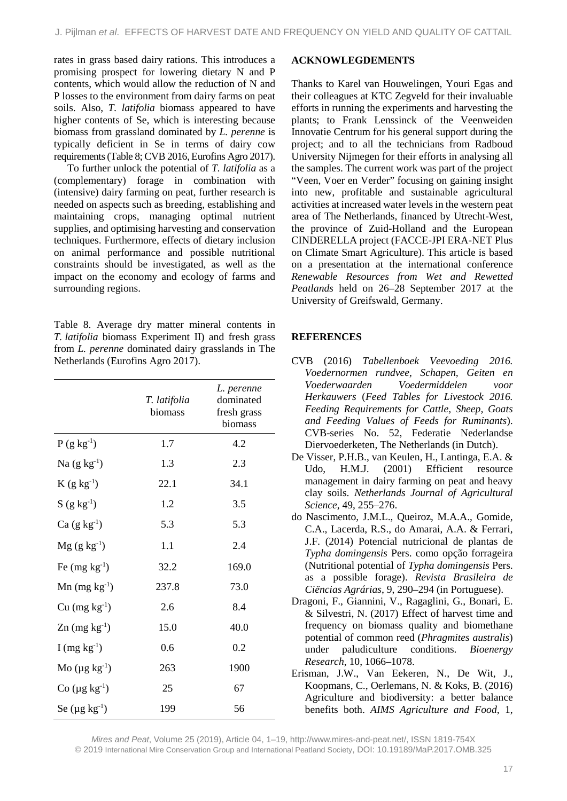rates in grass based dairy rations. This introduces a promising prospect for lowering dietary N and P contents, which would allow the reduction of N and P losses to the environment from dairy farms on peat soils. Also, *T. latifolia* biomass appeared to have higher contents of Se, which is interesting because biomass from grassland dominated by *L. perenne* is typically deficient in Se in terms of dairy cow requirements (Table 8; CVB 2016, Eurofins Agro 2017).

To further unlock the potential of *T. latifolia* as a (complementary) forage in combination with (intensive) dairy farming on peat, further research is needed on aspects such as breeding, establishing and maintaining crops, managing optimal nutrient supplies, and optimising harvesting and conservation techniques. Furthermore, effects of dietary inclusion on animal performance and possible nutritional constraints should be investigated, as well as the impact on the economy and ecology of farms and surrounding regions.

Table 8. Average dry matter mineral contents in *T. latifolia* biomass Experiment II) and fresh grass from *L. perenne* dominated dairy grasslands in The Netherlands (Eurofins Agro 2017).

|                      | T. latifolia<br>biomass | L. perenne<br>dominated<br>fresh grass<br>biomass |
|----------------------|-------------------------|---------------------------------------------------|
| $P(g kg^{-1})$       | 1.7                     | 4.2                                               |
| Na $(g \ kg^{-1})$   | 1.3                     | 2.3                                               |
| $K(g kg^{-1})$       | 22.1                    | 34.1                                              |
| $S(g kg^{-1})$       | 1.2                     | 3.5                                               |
| $Ca (g kg-1)$        | 5.3                     | 5.3                                               |
| $Mg (g kg^{-1})$     | 1.1                     | 2.4                                               |
| Fe $(mg kg^{-1})$    | 32.2                    | 169.0                                             |
| $Mn$ (mg $kg^{-1}$ ) | 237.8                   | 73.0                                              |
| $Cu$ (mg $kg^{-1}$ ) | 2.6                     | 8.4                                               |
| $Zn$ (mg $kg^{-1}$ ) | 15.0                    | 40.0                                              |
| I (mg $kg^{-1}$ )    | 0.6                     | 0.2                                               |
| Mo $(\mu g kg^{-1})$ | 263                     | 1900                                              |
| Co $(\mu g kg^{-1})$ | 25                      | 67                                                |
| Se $(\mu g kg^{-1})$ | 199                     | 56                                                |

# **ACKNOWLEGDEMENTS**

Thanks to Karel van Houwelingen, Youri Egas and their colleagues at KTC Zegveld for their invaluable efforts in running the experiments and harvesting the plants; to Frank Lenssinck of the Veenweiden Innovatie Centrum for his general support during the project; and to all the technicians from Radboud University Nijmegen for their efforts in analysing all the samples. The current work was part of the project "Veen, Voer en Verder" focusing on gaining insight into new, profitable and sustainable agricultural activities at increased water levels in the western peat area of The Netherlands, financed by Utrecht-West, the province of Zuid-Holland and the European CINDERELLA project (FACCE-JPI ERA-NET Plus on Climate Smart Agriculture). This article is based on a presentation at the international conference *Renewable Resources from Wet and Rewetted Peatlands* held on 26–28 September 2017 at the University of Greifswald, Germany.

# **REFERENCES**

- CVB (2016) *Tabellenboek Veevoeding 2016. Voedernormen rundvee, Schapen, Geiten en Voederwaarden Voedermiddelen voor Herkauwers* (*Feed Tables for Livestock 2016. Feeding Requirements for Cattle, Sheep, Goats and Feeding Values of Feeds for Ruminants*). CVB-series No. 52, Federatie Nederlandse Diervoederketen, The Netherlands (in Dutch).
- De Visser, P.H.B., van Keulen, H., Lantinga, E.A. & Udo, H.M.J. (2001) Efficient resource management in dairy farming on peat and heavy clay soils. *Netherlands Journal of Agricultural Science*, 49, 255–276.
- do Nascimento, J.M.L., Queiroz, M.A.A., Gomide, C.A., Lacerda, R.S., do Amarai, A.A. & Ferrari, J.F. (2014) Potencial nutricional de plantas de *Typha domingensis* Pers. como opção forrageira (Nutritional potential of *Typha domingensis* Pers. as a possible forage). *Revista Brasileira de Ciëncias Agrárias*, 9, 290–294 (in Portuguese).
- Dragoni, F., Giannini, V., Ragaglini, G., Bonari, E. & Silvestri, N. (2017) Effect of harvest time and frequency on biomass quality and biomethane potential of common reed (*Phragmites australis*) under paludiculture conditions. *Bioenergy Research*, 10, 1066–1078.
- Erisman, J.W., Van Eekeren, N., De Wit, J., Koopmans, C., Oerlemans, N. & Koks, B. (2016) Agriculture and biodiversity: a better balance benefits both. *AIMS Agriculture and Food*, 1,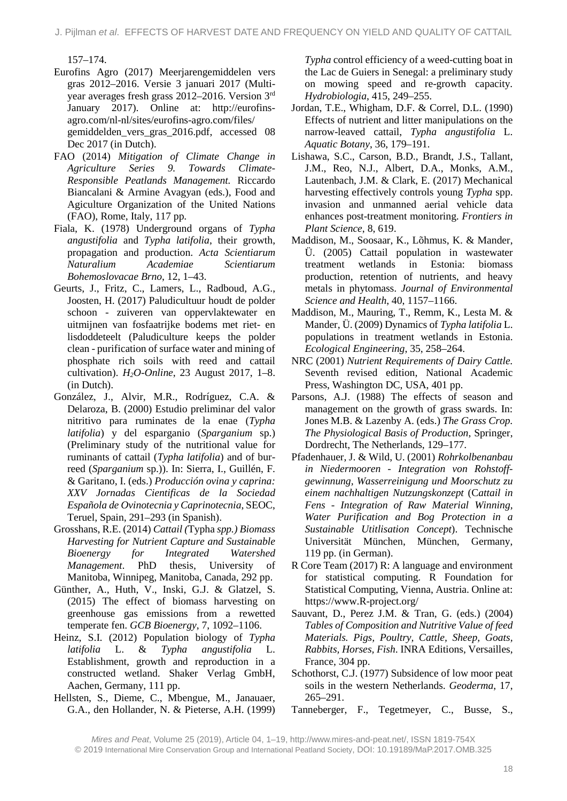157–174.

- Eurofins Agro (2017) Meerjarengemiddelen vers gras 2012–2016. Versie 3 januari 2017 (Multiyear averages fresh grass 2012–2016. Version 3rd January 2017). Online at: http://eurofinsagro.com/nl-nl/sites/eurofins-agro.com/files/ gemiddelden\_vers\_gras\_2016.pdf, accessed 08 Dec 2017 (in Dutch).
- FAO (2014) *Mitigation of Climate Change in Agriculture Series 9. Towards Climate-Responsible Peatlands Management.* Riccardo Biancalani & Armine Avagyan (eds.), Food and Agiculture Organization of the United Nations (FAO), Rome, Italy, 117 pp.
- Fiala, K. (1978) Underground organs of *Typha angustifolia* and *Typha latifolia*, their growth, propagation and production. *Acta Scientiarum Naturalium Academiae Scientiarum Bohemoslovacae Brno*, 12, 1–43.
- Geurts, J., Fritz, C., Lamers, L., Radboud, A.G., Joosten, H. (2017) Paludicultuur houdt de polder schoon - zuiveren van oppervlaktewater en uitmijnen van fosfaatrijke bodems met riet- en lisdoddeteelt (Paludiculture keeps the polder clean - purification of surface water and mining of phosphate rich soils with reed and cattail cultivation). *H2O-Online*, 23 August 2017, 1–8. (in Dutch).
- González, J., Alvir, M.R., Rodríguez, C.A. & Delaroza, B. (2000) Estudio preliminar del valor nitritivo para ruminates de la enae (*Typha latifolia*) y del esparganio (*Sparganium* sp.) (Preliminary study of the nutritional value for ruminants of cattail (*Typha latifolia*) and of burreed (*Sparganium* sp.)). In: Sierra, I., Guillén, F. & Garitano, I. (eds.) *Producción ovina y caprina: XXV Jornadas Cientificas de la Sociedad Española de Ovinotecnia y Caprinotecnia*, SEOC, Teruel, Spain, 291–293 (in Spanish).
- Grosshans, R.E. (2014) *Cattail (*Typha *spp.) Biomass Harvesting for Nutrient Capture and Sustainable Bioenergy for Integrated Watershed Management*. PhD thesis, University of Manitoba, Winnipeg, Manitoba, Canada, 292 pp.
- Günther, A., Huth, V., Inski, G.J. & Glatzel, S. (2015) The effect of biomass harvesting on greenhouse gas emissions from a rewetted temperate fen. *GCB Bioenergy*, 7, 1092–1106.
- Heinz, S.I. (2012) Population biology of *Typha latifolia* L. & *Typha angustifolia* L. Establishment, growth and reproduction in a constructed wetland. Shaker Verlag GmbH, Aachen, Germany, 111 pp.
- Hellsten, S., Dieme, C., Mbengue, M., Janauaer, G.A., den Hollander, N. & Pieterse, A.H. (1999)

*Typha* control efficiency of a weed-cutting boat in the Lac de Guiers in Senegal: a preliminary study on mowing speed and re-growth capacity. *Hydrobiologia*, 415, 249–255.

- Jordan, T.E., Whigham, D.F. & Correl, D.L. (1990) Effects of nutrient and litter manipulations on the narrow-leaved cattail, *Typha angustifolia* L. *Aquatic Botany*, 36, 179–191.
- Lishawa, S.C., Carson, B.D., Brandt, J.S., Tallant, J.M., Reo, N.J., Albert, D.A., Monks, A.M., Lautenbach, J.M. & Clark, E. (2017) Mechanical harvesting effectively controls young *Typha* spp. invasion and unmanned aerial vehicle data enhances post-treatment monitoring. *Frontiers in Plant Science*, 8, 619.
- Maddison, M., Soosaar, K., Lõhmus, K. & Mander, Ü. (2005) Cattail population in wastewater treatment wetlands in Estonia: biomass production, retention of nutrients, and heavy metals in phytomass. *Journal of Environmental Science and Health*, 40, 1157–1166.
- Maddison, M., Mauring, T., Remm, K., Lesta M. & Mander, Ü. (2009) Dynamics of *Typha latifolia* L. populations in treatment wetlands in Estonia. *Ecological Engineering*, 35, 258–264.
- NRC (2001) *Nutrient Requirements of Dairy Cattle.* Seventh revised edition, National Academic Press, Washington DC, USA, 401 pp.
- Parsons, A.J. (1988) The effects of season and management on the growth of grass swards. In: Jones M.B. & Lazenby A. (eds.) *The Grass Crop. The Physiological Basis of Production*, Springer, Dordrecht, The Netherlands, 129–177.
- Pfadenhauer, J. & Wild, U. (2001) *Rohrkolbenanbau in Niedermooren - Integration von Rohstoffgewinnung, Wasserreinigung und Moorschutz zu einem nachhaltigen Nutzungskonzept* (C*attail in Fens - Integration of Raw Material Winning, Water Purification and Bog Protection in a Sustainable Utitlisation Concept*). Technische Universität München, München, Germany, 119 pp. (in German).
- R Core Team (2017) R: A language and environment for statistical computing. R Foundation for Statistical Computing, Vienna, Austria. Online at: https://www.R-project.org/
- Sauvant, D., Perez J.M. & Tran, G. (eds.) (2004) *Tables of Composition and Nutritive Value of feed Materials. Pigs, Poultry, Cattle, Sheep, Goats, Rabbits, Horses, Fish*. INRA Editions, Versailles, France, 304 pp.
- Schothorst, C.J. (1977) Subsidence of low moor peat soils in the western Netherlands. *Geoderma*, 17, 265–291.
- Tanneberger, F., Tegetmeyer, C., Busse, S.,